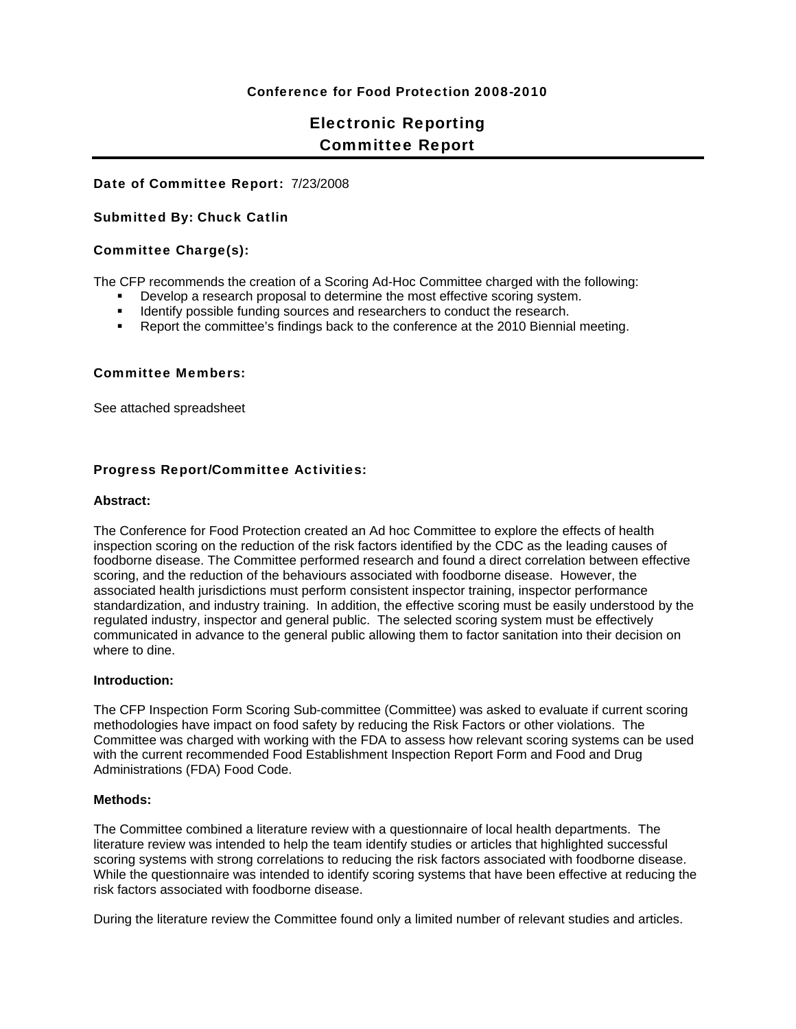### Conference for Food Protection 2008-2010

# Electronic Reporting Committee Report

#### Date of Committee Report: 7/23/2008

#### Submitted By: Chuck Catlin

#### Committee Charge(s):

The CFP recommends the creation of a Scoring Ad-Hoc Committee charged with the following:

- **Develop a research proposal to determine the most effective scoring system.**
- **IDENTIFY FURNIFY UPS IS NOTE 2015 THE IDENTIFY CONDUCT** the research.
- Report the committee's findings back to the conference at the 2010 Biennial meeting.

#### Committee Members:

See attached spreadsheet

#### Progress Report/Committee Activities:

#### **Abstract:**

The Conference for Food Protection created an Ad hoc Committee to explore the effects of health inspection scoring on the reduction of the risk factors identified by the CDC as the leading causes of foodborne disease. The Committee performed research and found a direct correlation between effective scoring, and the reduction of the behaviours associated with foodborne disease. However, the associated health jurisdictions must perform consistent inspector training, inspector performance standardization, and industry training. In addition, the effective scoring must be easily understood by the regulated industry, inspector and general public. The selected scoring system must be effectively communicated in advance to the general public allowing them to factor sanitation into their decision on where to dine.

#### **Introduction:**

The CFP Inspection Form Scoring Sub-committee (Committee) was asked to evaluate if current scoring methodologies have impact on food safety by reducing the Risk Factors or other violations. The Committee was charged with working with the FDA to assess how relevant scoring systems can be used with the current recommended Food Establishment Inspection Report Form and Food and Drug Administrations (FDA) Food Code.

#### **Methods:**

The Committee combined a literature review with a questionnaire of local health departments. The literature review was intended to help the team identify studies or articles that highlighted successful scoring systems with strong correlations to reducing the risk factors associated with foodborne disease. While the questionnaire was intended to identify scoring systems that have been effective at reducing the risk factors associated with foodborne disease.

During the literature review the Committee found only a limited number of relevant studies and articles.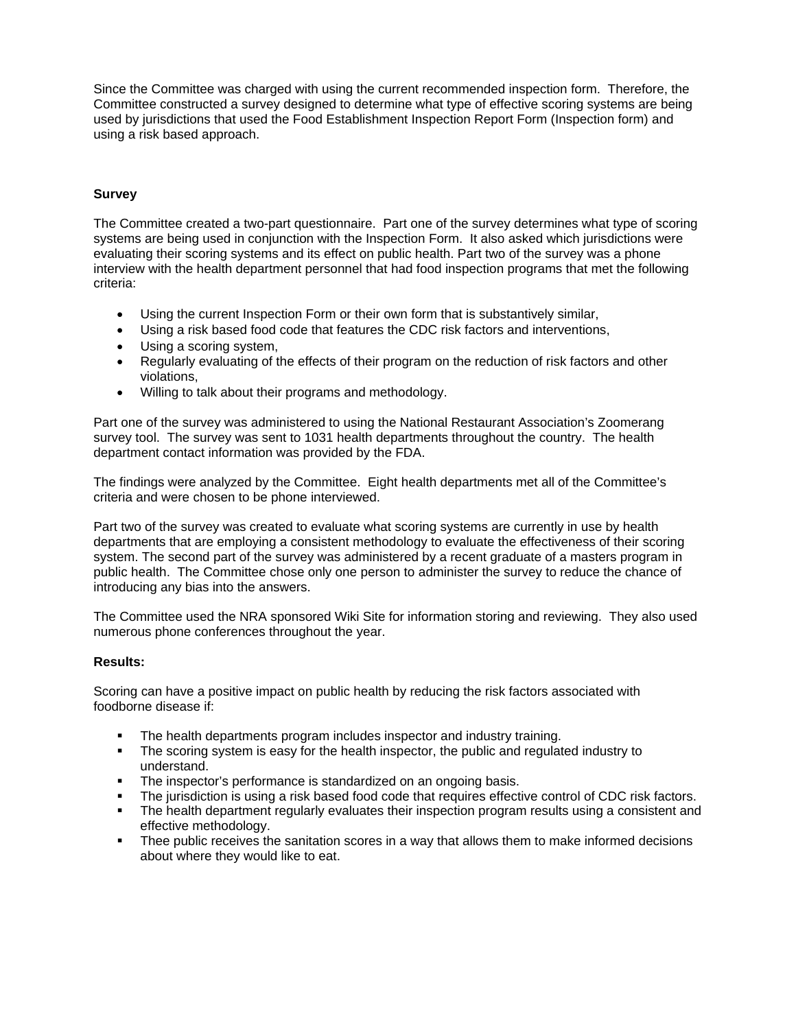Since the Committee was charged with using the current recommended inspection form. Therefore, the Committee constructed a survey designed to determine what type of effective scoring systems are being used by jurisdictions that used the Food Establishment Inspection Report Form (Inspection form) and using a risk based approach.

## **Survey**

The Committee created a two-part questionnaire. Part one of the survey determines what type of scoring systems are being used in conjunction with the Inspection Form. It also asked which jurisdictions were evaluating their scoring systems and its effect on public health. Part two of the survey was a phone interview with the health department personnel that had food inspection programs that met the following criteria:

- Using the current Inspection Form or their own form that is substantively similar,
- Using a risk based food code that features the CDC risk factors and interventions,
- Using a scoring system.
- Regularly evaluating of the effects of their program on the reduction of risk factors and other violations,
- Willing to talk about their programs and methodology.

Part one of the survey was administered to using the National Restaurant Association's Zoomerang survey tool. The survey was sent to 1031 health departments throughout the country. The health department contact information was provided by the FDA.

The findings were analyzed by the Committee. Eight health departments met all of the Committee's criteria and were chosen to be phone interviewed.

Part two of the survey was created to evaluate what scoring systems are currently in use by health departments that are employing a consistent methodology to evaluate the effectiveness of their scoring system. The second part of the survey was administered by a recent graduate of a masters program in public health. The Committee chose only one person to administer the survey to reduce the chance of introducing any bias into the answers.

The Committee used the NRA sponsored Wiki Site for information storing and reviewing. They also used numerous phone conferences throughout the year.

#### **Results:**

Scoring can have a positive impact on public health by reducing the risk factors associated with foodborne disease if:

- The health departments program includes inspector and industry training.
- The scoring system is easy for the health inspector, the public and regulated industry to understand.
- **The inspector's performance is standardized on an ongoing basis.**
- The jurisdiction is using a risk based food code that requires effective control of CDC risk factors.
- The health department regularly evaluates their inspection program results using a consistent and effective methodology.
- **Thee public receives the sanitation scores in a way that allows them to make informed decisions** about where they would like to eat.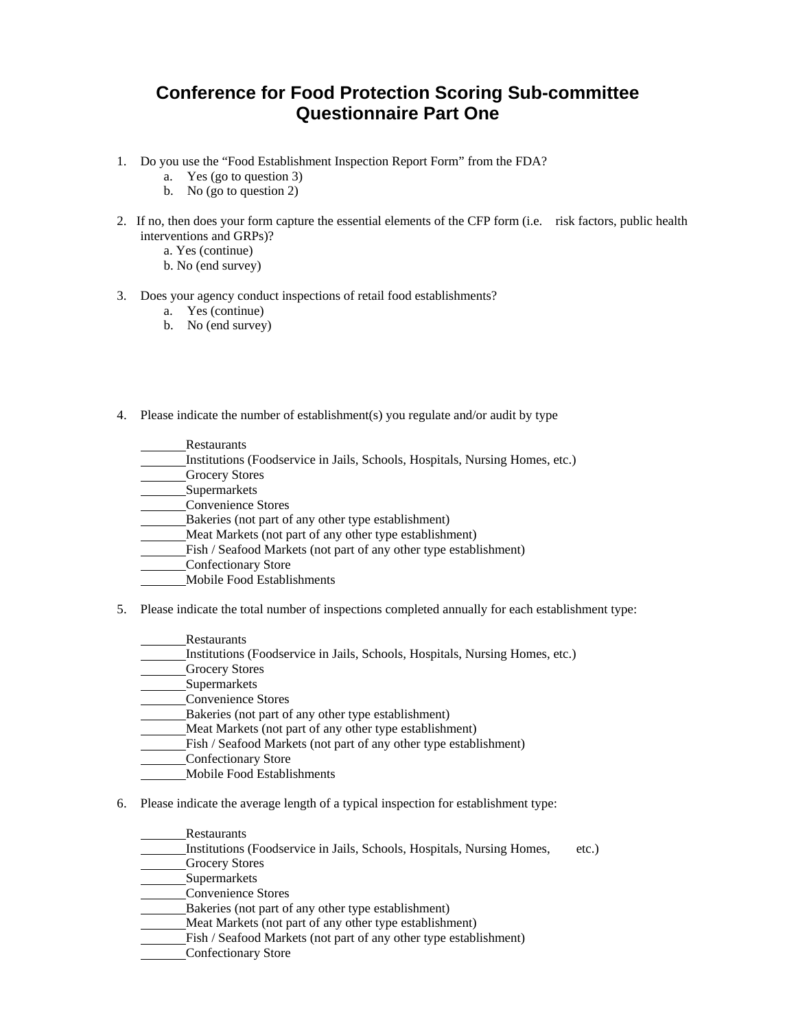# **Conference for Food Protection Scoring Sub-committee Questionnaire Part One**

- 1. Do you use the "Food Establishment Inspection Report Form" from the FDA?
	- a. Yes (go to question 3)
	- b. No (go to question 2)
- 2. If no, then does your form capture the essential elements of the CFP form (i.e. risk factors, public health interventions and GRPs)?
	- a. Yes (continue)
		- b. No (end survey)
- 3. Does your agency conduct inspections of retail food establishments?
	- a. Yes (continue)
	- b. No (end survey)
- 4. Please indicate the number of establishment(s) you regulate and/or audit by type
	- Restaurants
	- Institutions (Foodservice in Jails, Schools, Hospitals, Nursing Homes, etc.)
	- Grocery Stores
	- Supermarkets
	- Convenience Stores
	- Bakeries (not part of any other type establishment)
	- Meat Markets (not part of any other type establishment)
	- Fish / Seafood Markets (not part of any other type establishment)
	- Confectionary Store
	- Mobile Food Establishments
- 5. Please indicate the total number of inspections completed annually for each establishment type:
	- **Restaurants**
	- Institutions (Foodservice in Jails, Schools, Hospitals, Nursing Homes, etc.)
	- Grocery Stores
	- **Supermarkets**
	- Convenience Stores
	- Bakeries (not part of any other type establishment)
	- Meat Markets (not part of any other type establishment)
	- Fish / Seafood Markets (not part of any other type establishment)
	- Confectionary Store
	- Mobile Food Establishments
- 6. Please indicate the average length of a typical inspection for establishment type:
	- Restaurants
	- Institutions (Foodservice in Jails, Schools, Hospitals, Nursing Homes, etc.)
	- Grocery Stores
	- Supermarkets
	- Convenience Stores
	- Bakeries (not part of any other type establishment)
	- Meat Markets (not part of any other type establishment)
	- Fish / Seafood Markets (not part of any other type establishment)
	- Confectionary Store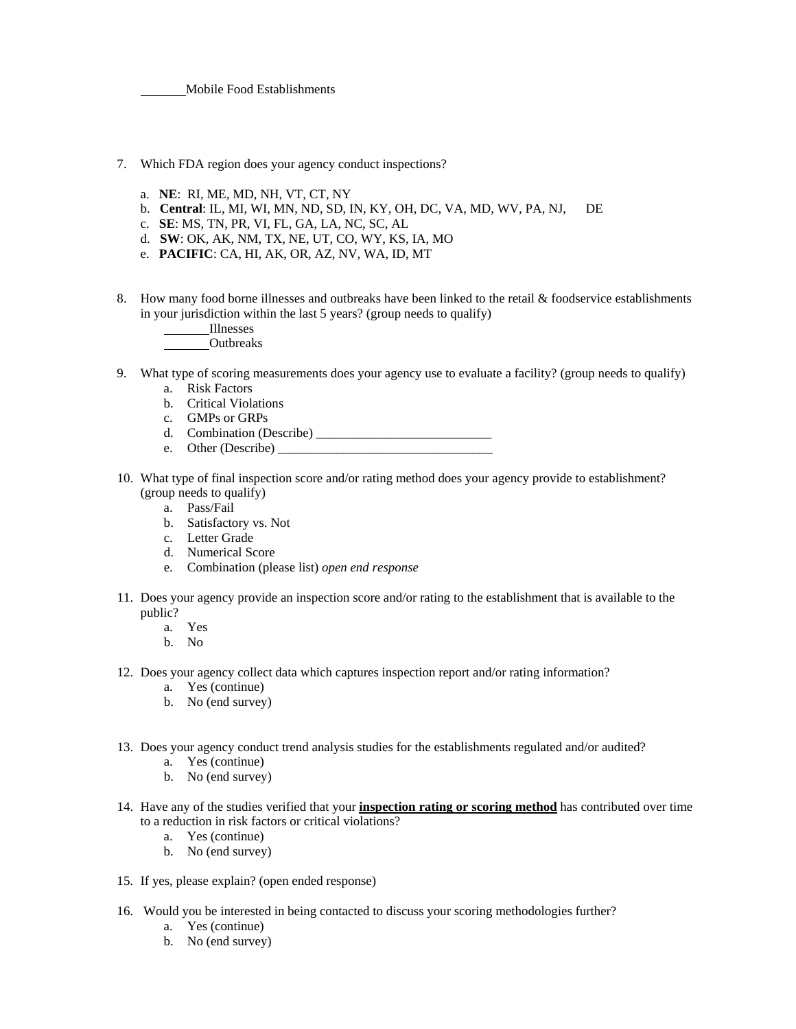Mobile Food Establishments

- 7. Which FDA region does your agency conduct inspections?
	- a. **NE**: RI, ME, MD, NH, VT, CT, NY
	- b. **Central**: IL, MI, WI, MN, ND, SD, IN, KY, OH, DC, VA, MD, WV, PA, NJ, DE
	- c. **SE**: MS, TN, PR, VI, FL, GA, LA, NC, SC, AL
	- d. **SW**: OK, AK, NM, TX, NE, UT, CO, WY, KS, IA, MO
	- e. **PACIFIC**: CA, HI, AK, OR, AZ, NV, WA, ID, MT
- 8. How many food borne illnesses and outbreaks have been linked to the retail & foodservice establishments in your jurisdiction within the last 5 years? (group needs to qualify)
	- Illnesses
	- Outbreaks
- 9. What type of scoring measurements does your agency use to evaluate a facility? (group needs to qualify)
	- a. Risk Factors
	- b. Critical Violations
	- c. GMPs or GRPs
	- d. Combination (Describe) \_\_\_\_\_\_\_\_\_\_\_\_\_\_\_\_\_\_\_\_\_\_\_\_\_\_\_
	- e. Other (Describe)
- 10. What type of final inspection score and/or rating method does your agency provide to establishment? (group needs to qualify)
	- a. Pass/Fail
	- b. Satisfactory vs. Not
	- c. Letter Grade
	- d. Numerical Score
	- e. Combination (please list) *open end response*
- 11. Does your agency provide an inspection score and/or rating to the establishment that is available to the public?
	- a. Yes
	- b. No
- 12. Does your agency collect data which captures inspection report and/or rating information?
	- a. Yes (continue)
	- b. No (end survey)
- 13. Does your agency conduct trend analysis studies for the establishments regulated and/or audited?
	- a. Yes (continue)
	- b. No (end survey)
- 14. Have any of the studies verified that your **inspection rating or scoring method** has contributed over time to a reduction in risk factors or critical violations?
	- a. Yes (continue)
	- b. No (end survey)
- 15. If yes, please explain? (open ended response)
- 16. Would you be interested in being contacted to discuss your scoring methodologies further?
	- a. Yes (continue)
	- b. No (end survey)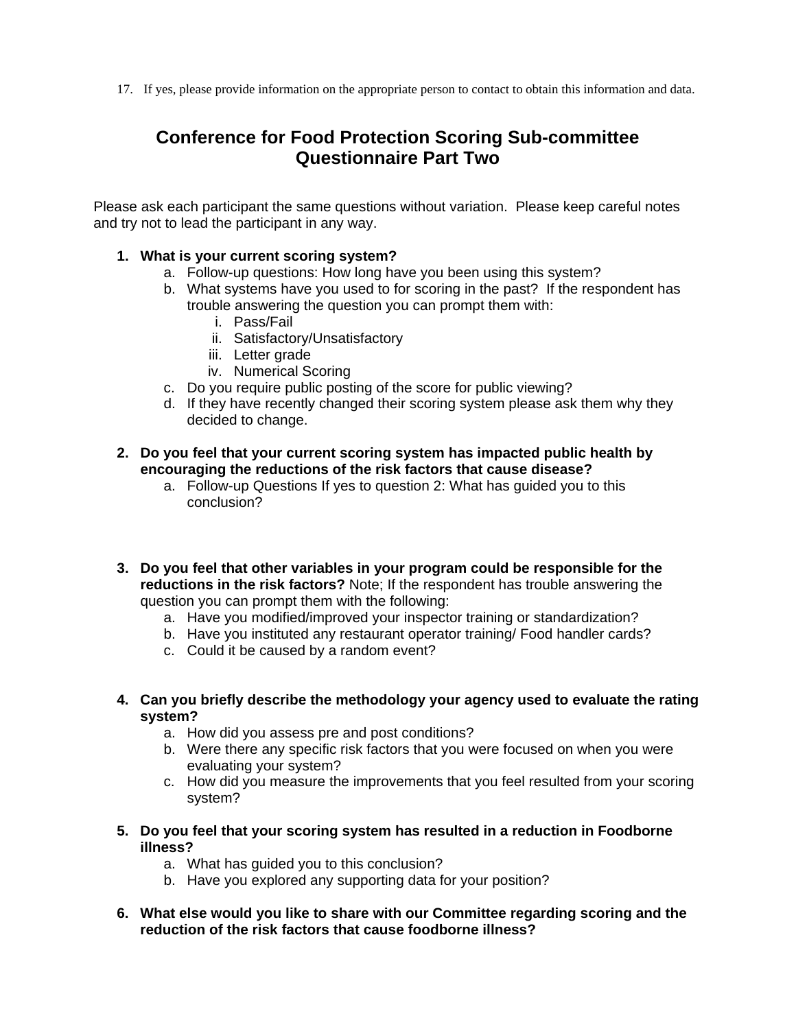17. If yes, please provide information on the appropriate person to contact to obtain this information and data.

# **Conference for Food Protection Scoring Sub-committee Questionnaire Part Two**

Please ask each participant the same questions without variation. Please keep careful notes and try not to lead the participant in any way.

## **1. What is your current scoring system?**

- a. Follow-up questions: How long have you been using this system?
- b. What systems have you used to for scoring in the past? If the respondent has trouble answering the question you can prompt them with:
	- i. Pass/Fail
	- ii. Satisfactory/Unsatisfactory
	- iii. Letter grade
	- iv. Numerical Scoring
- c. Do you require public posting of the score for public viewing?
- d. If they have recently changed their scoring system please ask them why they decided to change.

## **2. Do you feel that your current scoring system has impacted public health by encouraging the reductions of the risk factors that cause disease?**

- a. Follow-up Questions If yes to question 2: What has guided you to this conclusion?
- **3. Do you feel that other variables in your program could be responsible for the reductions in the risk factors?** Note; If the respondent has trouble answering the question you can prompt them with the following:
	- a. Have you modified/improved your inspector training or standardization?
	- b. Have you instituted any restaurant operator training/ Food handler cards?
	- c. Could it be caused by a random event?
- **4. Can you briefly describe the methodology your agency used to evaluate the rating system?** 
	- a. How did you assess pre and post conditions?
	- b. Were there any specific risk factors that you were focused on when you were evaluating your system?
	- c. How did you measure the improvements that you feel resulted from your scoring system?
- **5. Do you feel that your scoring system has resulted in a reduction in Foodborne illness?** 
	- a. What has guided you to this conclusion?
	- b. Have you explored any supporting data for your position?
- **6. What else would you like to share with our Committee regarding scoring and the reduction of the risk factors that cause foodborne illness?**